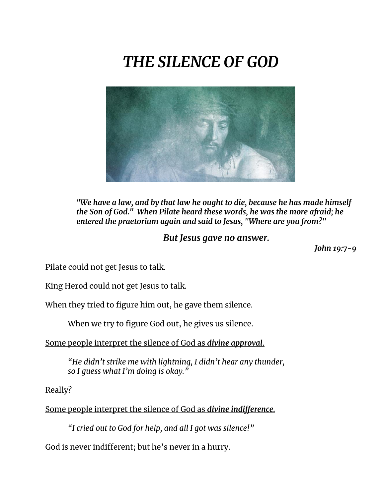## *THE SILENCE OF GOD*



*"We have a law, and by that law he ought to die, because he has made himself the Son of God." When Pilate heard these words, he was the more afraid; he entered the praetorium again and said to Jesus, "Where are you from?"* 

*But Jesus gave no answer.*

*John 19:7-9*

Pilate could not get Jesus to talk.

King Herod could not get Jesus to talk.

When they tried to figure him out, he gave them silence.

When we try to figure God out, he gives us silence.

Some people interpret the silence of God as *divine approval*.

*"He didn't strike me with lightning, I didn't hear any thunder, so I guess what I'm doing is okay."*

Really?

Some people interpret the silence of God as *divine indifference.*

*"I cried out to God for help, and all I got was silence!"*

God is never indifferent; but he's never in a hurry.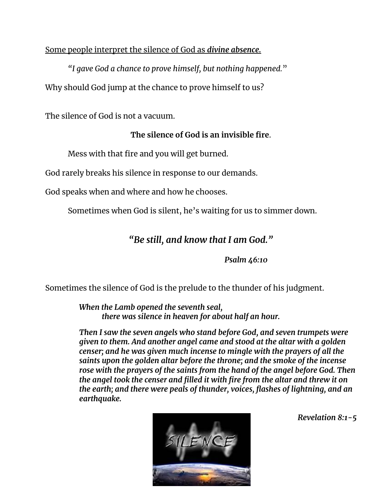## Some people interpret the silence of God as *divine absence.*

*"I gave God a chance to prove himself, but nothing happened.*" Why should God jump at the chance to prove himself to us?

The silence of God is not a vacuum.

## **The silence of God is an invisible fire**.

Mess with that fire and you will get burned.

God rarely breaks his silence in response to our demands.

God speaks when and where and how he chooses.

Sometimes when God is silent, he's waiting for us to simmer down.

## *"Be still, and know that I am God."*

*Psalm 46:10*

Sometimes the silence of God is the prelude to the thunder of his judgment.

*When the Lamb opened the seventh seal, there was silence in heaven for about half an hour.* 

*Then I saw the seven angels who stand before God, and seven trumpets were given to them. And another angel came and stood at the altar with a golden censer; and he was given much incense to mingle with the prayers of all the saints upon the golden altar before the throne; and the smoke of the incense*  rose with the prayers of the saints from the hand of the angel before God. Then *the angel took the censer and filled it with fire from the altar and threw it on the earth; and there were peals of thunder, voices, flashes of lightning, and an earthquake.*



*Revelation 8:1-5*